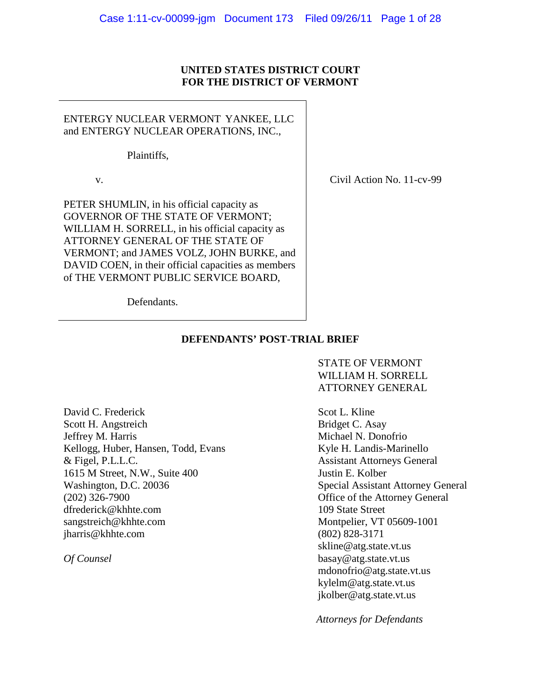### **UNITED STATES DISTRICT COURT FOR THE DISTRICT OF VERMONT**

### ENTERGY NUCLEAR VERMONT YANKEE, LLC and ENTERGY NUCLEAR OPERATIONS, INC.,

Plaintiffs,

v.

PETER SHUMLIN, in his official capacity as GOVERNOR OF THE STATE OF VERMONT; WILLIAM H. SORRELL, in his official capacity as ATTORNEY GENERAL OF THE STATE OF VERMONT; and JAMES VOLZ, JOHN BURKE, and DAVID COEN, in their official capacities as members of THE VERMONT PUBLIC SERVICE BOARD,

Civil Action No. 11-cv-99

Defendants.

### **DEFENDANTS' POST-TRIAL BRIEF**

STATE OF VERMONT WILLIAM H. SORRELL ATTORNEY GENERAL

David C. Frederick Scott H. Angstreich Jeffrey M. Harris Kellogg, Huber, Hansen, Todd, Evans & Figel, P.L.L.C. 1615 M Street, N.W., Suite 400 Washington, D.C. 20036 (202) 326-7900 dfrederick@khhte.com sangstreich@khhte.com jharris@khhte.com

*Of Counsel*

Scot L. Kline Bridget C. Asay Michael N. Donofrio Kyle H. Landis-Marinello Assistant Attorneys General Justin E. Kolber Special Assistant Attorney General Office of the Attorney General 109 State Street Montpelier, VT 05609-1001 (802) 828-3171 skline@atg.state.vt.us basay@atg.state.vt.us mdonofrio@atg.state.vt.us kylelm@atg.state.vt.us jkolber@atg.state.vt.us

 *Attorneys for Defendants*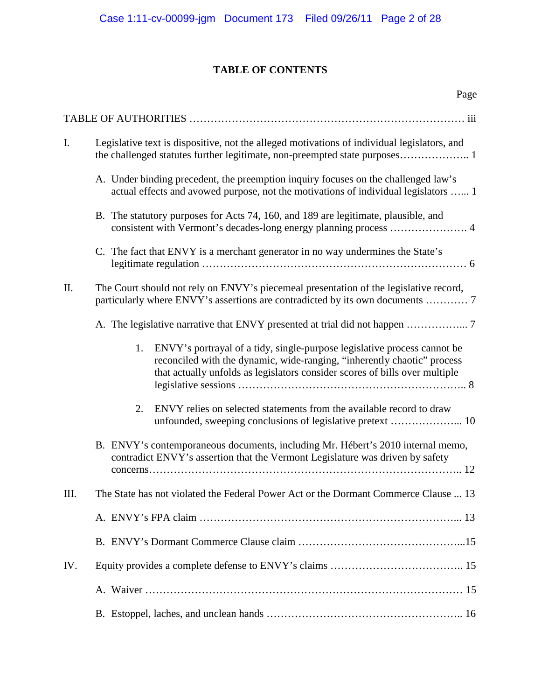## **TABLE OF CONTENTS**

|      | Page                                                                                                                                                                                                                                     |
|------|------------------------------------------------------------------------------------------------------------------------------------------------------------------------------------------------------------------------------------------|
|      |                                                                                                                                                                                                                                          |
| Ι.   | Legislative text is dispositive, not the alleged motivations of individual legislators, and<br>the challenged statutes further legitimate, non-preempted state purposes 1                                                                |
|      | A. Under binding precedent, the preemption inquiry focuses on the challenged law's<br>actual effects and avowed purpose, not the motivations of individual legislators  1                                                                |
|      | B. The statutory purposes for Acts 74, 160, and 189 are legitimate, plausible, and                                                                                                                                                       |
|      | C. The fact that ENVY is a merchant generator in no way undermines the State's                                                                                                                                                           |
| II.  | The Court should not rely on ENVY's piecemeal presentation of the legislative record,<br>particularly where ENVY's assertions are contradicted by its own documents  7                                                                   |
|      |                                                                                                                                                                                                                                          |
|      | 1.<br>ENVY's portrayal of a tidy, single-purpose legislative process cannot be<br>reconciled with the dynamic, wide-ranging, "inherently chaotic" process<br>that actually unfolds as legislators consider scores of bills over multiple |
|      | ENVY relies on selected statements from the available record to draw<br>2.<br>unfounded, sweeping conclusions of legislative pretext  10                                                                                                 |
|      | B. ENVY's contemporaneous documents, including Mr. Hébert's 2010 internal memo,<br>contradict ENVY's assertion that the Vermont Legislature was driven by safety                                                                         |
| III. | The State has not violated the Federal Power Act or the Dormant Commerce Clause  13                                                                                                                                                      |
|      |                                                                                                                                                                                                                                          |
|      |                                                                                                                                                                                                                                          |
| IV.  |                                                                                                                                                                                                                                          |
|      |                                                                                                                                                                                                                                          |
|      |                                                                                                                                                                                                                                          |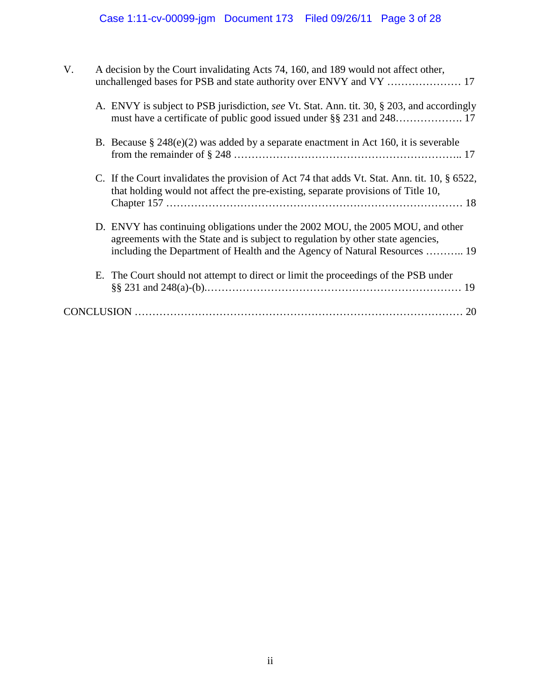| V. | A decision by the Court invalidating Acts 74, 160, and 189 would not affect other,                                                                                                                                                              |                                                                                                                                                                                   |  |  |
|----|-------------------------------------------------------------------------------------------------------------------------------------------------------------------------------------------------------------------------------------------------|-----------------------------------------------------------------------------------------------------------------------------------------------------------------------------------|--|--|
|    |                                                                                                                                                                                                                                                 | A. ENVY is subject to PSB jurisdiction, see Vt. Stat. Ann. tit. 30, § 203, and accordingly                                                                                        |  |  |
|    |                                                                                                                                                                                                                                                 | B. Because $\S 248(e)(2)$ was added by a separate enactment in Act 160, it is severable                                                                                           |  |  |
|    |                                                                                                                                                                                                                                                 | C. If the Court invalidates the provision of Act 74 that adds Vt. Stat. Ann. tit. 10, § 6522,<br>that holding would not affect the pre-existing, separate provisions of Title 10, |  |  |
|    | D. ENVY has continuing obligations under the 2002 MOU, the 2005 MOU, and other<br>agreements with the State and is subject to regulation by other state agencies,<br>including the Department of Health and the Agency of Natural Resources  19 |                                                                                                                                                                                   |  |  |
|    |                                                                                                                                                                                                                                                 | E. The Court should not attempt to direct or limit the proceedings of the PSB under                                                                                               |  |  |
|    |                                                                                                                                                                                                                                                 | 20                                                                                                                                                                                |  |  |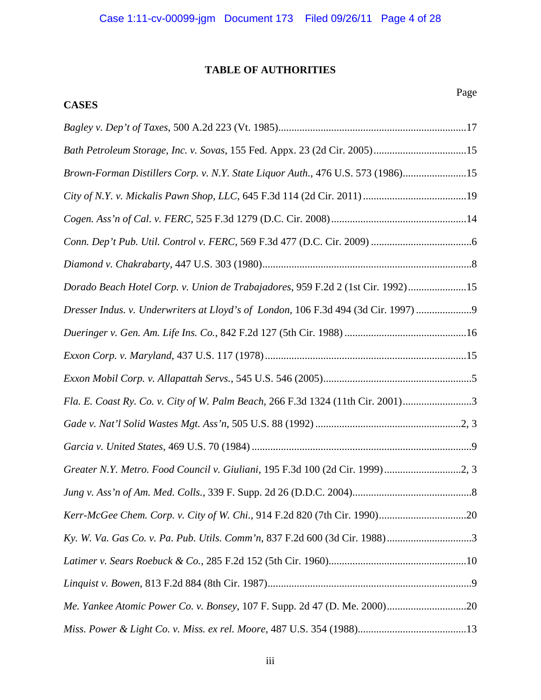## **TABLE OF AUTHORITIES**

# **CASES**

| Bath Petroleum Storage, Inc. v. Sovas, 155 Fed. Appx. 23 (2d Cir. 2005)15        |
|----------------------------------------------------------------------------------|
| Brown-Forman Distillers Corp. v. N.Y. State Liquor Auth., 476 U.S. 573 (1986)15  |
|                                                                                  |
|                                                                                  |
|                                                                                  |
|                                                                                  |
| Dorado Beach Hotel Corp. v. Union de Trabajadores, 959 F.2d 2 (1st Cir. 1992)15  |
| Dresser Indus. v. Underwriters at Lloyd's of London, 106 F.3d 494 (3d Cir. 1997) |
|                                                                                  |
|                                                                                  |
|                                                                                  |
| Fla. E. Coast Ry. Co. v. City of W. Palm Beach, 266 F.3d 1324 (11th Cir. 2001)3  |
|                                                                                  |
|                                                                                  |
| Greater N.Y. Metro. Food Council v. Giuliani, 195 F.3d 100 (2d Cir. 1999)2, 3    |
|                                                                                  |
|                                                                                  |
|                                                                                  |
|                                                                                  |
|                                                                                  |
|                                                                                  |
|                                                                                  |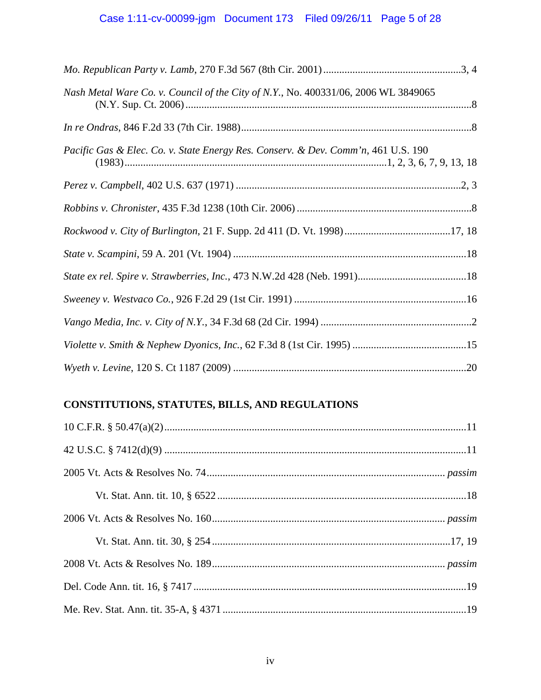| Nash Metal Ware Co. v. Council of the City of N.Y., No. 400331/06, 2006 WL 3849065 |  |
|------------------------------------------------------------------------------------|--|
|                                                                                    |  |
| Pacific Gas & Elec. Co. v. State Energy Res. Conserv. & Dev. Comm'n, 461 U.S. 190  |  |
|                                                                                    |  |
|                                                                                    |  |
|                                                                                    |  |
|                                                                                    |  |
|                                                                                    |  |
|                                                                                    |  |
|                                                                                    |  |
|                                                                                    |  |
|                                                                                    |  |

# **CONSTITUTIONS, STATUTES, BILLS, AND REGULATIONS**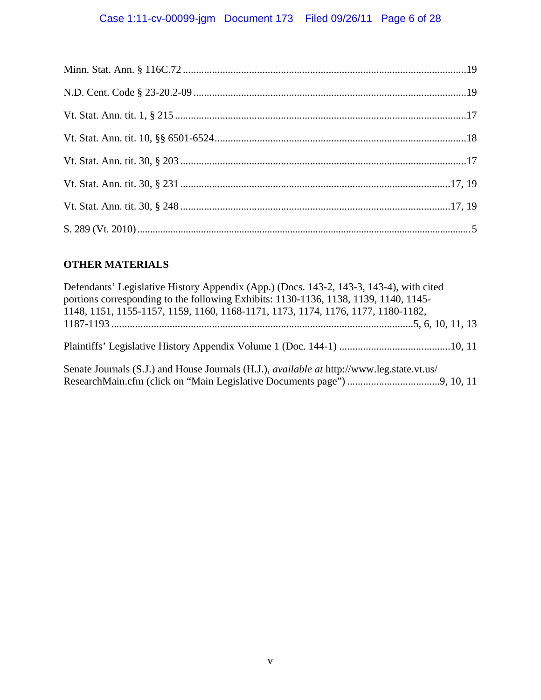# Case 1:11-cv-00099-jgm Document 173 Filed 09/26/11 Page 6 of 28

## **OTHER MATERIALS**

| Defendants' Legislative History Appendix (App.) (Docs. 143-2, 143-3, 143-4), with cited<br>portions corresponding to the following Exhibits: 1130-1136, 1138, 1139, 1140, 1145-<br>1148, 1151, 1155-1157, 1159, 1160, 1168-1171, 1173, 1174, 1176, 1177, 1180-1182, |  |
|---------------------------------------------------------------------------------------------------------------------------------------------------------------------------------------------------------------------------------------------------------------------|--|
|                                                                                                                                                                                                                                                                     |  |
|                                                                                                                                                                                                                                                                     |  |
| Senate Journals (S.J.) and House Journals (H.J.), <i>available at</i> http://www.leg.state.vt.us/                                                                                                                                                                   |  |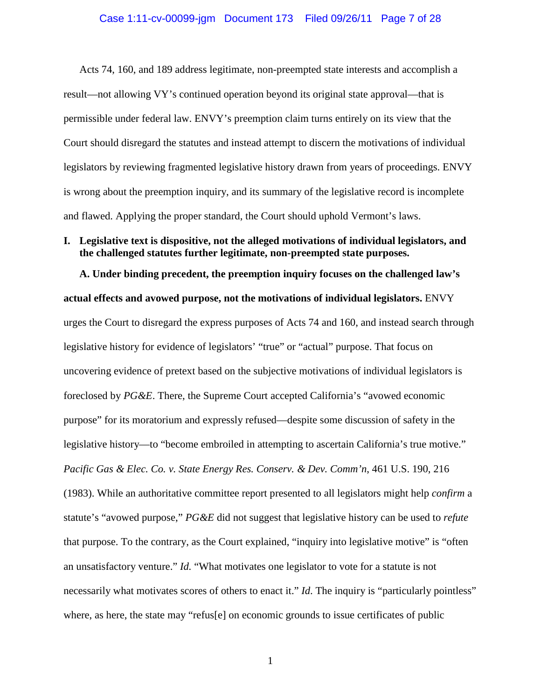### Case 1:11-cv-00099-jgm Document 173 Filed 09/26/11 Page 7 of 28

Acts 74, 160, and 189 address legitimate, non-preempted state interests and accomplish a result—not allowing VY's continued operation beyond its original state approval—that is permissible under federal law. ENVY's preemption claim turns entirely on its view that the Court should disregard the statutes and instead attempt to discern the motivations of individual legislators by reviewing fragmented legislative history drawn from years of proceedings. ENVY is wrong about the preemption inquiry, and its summary of the legislative record is incomplete and flawed. Applying the proper standard, the Court should uphold Vermont's laws.

### **I. Legislative text is dispositive, not the alleged motivations of individual legislators, and the challenged statutes further legitimate, non-preempted state purposes.**

**A. Under binding precedent, the preemption inquiry focuses on the challenged law's actual effects and avowed purpose, not the motivations of individual legislators.** ENVY urges the Court to disregard the express purposes of Acts 74 and 160, and instead search through legislative history for evidence of legislators' "true" or "actual" purpose. That focus on uncovering evidence of pretext based on the subjective motivations of individual legislators is foreclosed by *PG&E*. There, the Supreme Court accepted California's "avowed economic purpose" for its moratorium and expressly refused—despite some discussion of safety in the legislative history—to "become embroiled in attempting to ascertain California's true motive." *Pacific Gas & Elec. Co. v. State Energy Res. Conserv. & Dev. Comm'n*, 461 U.S. 190, 216 (1983). While an authoritative committee report presented to all legislators might help *confirm* a statute's "avowed purpose," *PG&E* did not suggest that legislative history can be used to *refute* that purpose. To the contrary, as the Court explained, "inquiry into legislative motive" is "often an unsatisfactory venture." *Id.* "What motivates one legislator to vote for a statute is not necessarily what motivates scores of others to enact it." *Id*. The inquiry is "particularly pointless" where, as here, the state may "refus<sup>[e]</sup> on economic grounds to issue certificates of public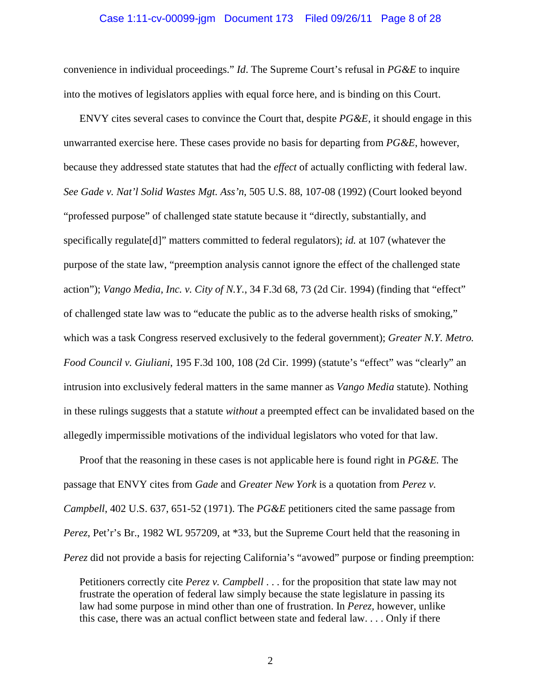### Case 1:11-cv-00099-jgm Document 173 Filed 09/26/11 Page 8 of 28

convenience in individual proceedings." *Id*. The Supreme Court's refusal in *PG&E* to inquire into the motives of legislators applies with equal force here, and is binding on this Court.

ENVY cites several cases to convince the Court that, despite *PG&E*, it should engage in this unwarranted exercise here. These cases provide no basis for departing from *PG&E*, however, because they addressed state statutes that had the *effect* of actually conflicting with federal law. *See Gade v. Nat'l Solid Wastes Mgt. Ass'n*, 505 U.S. 88, 107-08 (1992) (Court looked beyond "professed purpose" of challenged state statute because it "directly, substantially, and specifically regulate[d]" matters committed to federal regulators); *id.* at 107 (whatever the purpose of the state law, "preemption analysis cannot ignore the effect of the challenged state action"); *Vango Media, Inc. v. City of N.Y.*, 34 F.3d 68, 73 (2d Cir. 1994) (finding that "effect" of challenged state law was to "educate the public as to the adverse health risks of smoking," which was a task Congress reserved exclusively to the federal government); *Greater N.Y. Metro. Food Council v. Giuliani*, 195 F.3d 100, 108 (2d Cir. 1999) (statute's "effect" was "clearly" an intrusion into exclusively federal matters in the same manner as *Vango Media* statute). Nothing in these rulings suggests that a statute *without* a preempted effect can be invalidated based on the allegedly impermissible motivations of the individual legislators who voted for that law.

Proof that the reasoning in these cases is not applicable here is found right in *PG&E.* The passage that ENVY cites from *Gade* and *Greater New York* is a quotation from *Perez v. Campbell*, 402 U.S. 637, 651-52 (1971). The *PG&E* petitioners cited the same passage from *Perez*, Pet'r's Br., 1982 WL 957209, at \*33, but the Supreme Court held that the reasoning in *Perez* did not provide a basis for rejecting California's "avowed" purpose or finding preemption:

Petitioners correctly cite *Perez v. Campbell* . . . for the proposition that state law may not frustrate the operation of federal law simply because the state legislature in passing its law had some purpose in mind other than one of frustration. In *Perez*, however, unlike this case, there was an actual conflict between state and federal law. . . . Only if there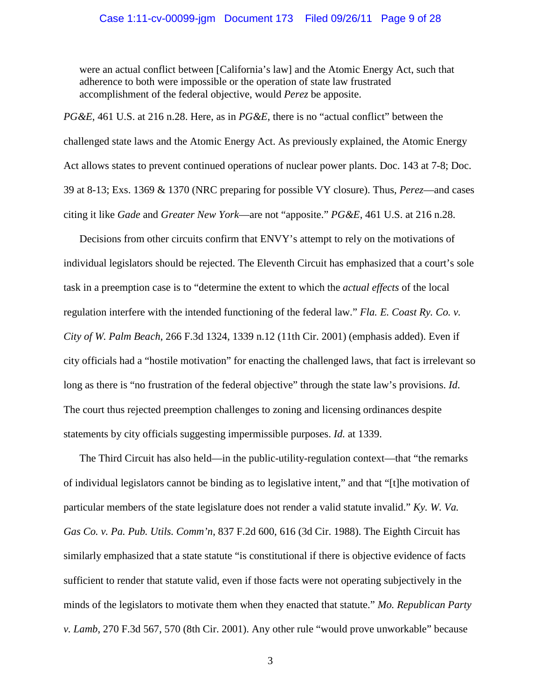were an actual conflict between [California's law] and the Atomic Energy Act, such that adherence to both were impossible or the operation of state law frustrated accomplishment of the federal objective, would *Perez* be apposite.

*PG&E*, 461 U.S. at 216 n.28. Here, as in *PG&E*, there is no "actual conflict" between the challenged state laws and the Atomic Energy Act. As previously explained, the Atomic Energy Act allows states to prevent continued operations of nuclear power plants. Doc. 143 at 7-8; Doc. 39 at 8-13; Exs. 1369 & 1370 (NRC preparing for possible VY closure). Thus, *Perez*—and cases citing it like *Gade* and *Greater New York*—are not "apposite." *PG&E*, 461 U.S. at 216 n.28.

Decisions from other circuits confirm that ENVY's attempt to rely on the motivations of individual legislators should be rejected. The Eleventh Circuit has emphasized that a court's sole task in a preemption case is to "determine the extent to which the *actual effects* of the local regulation interfere with the intended functioning of the federal law." *Fla. E. Coast Ry. Co. v. City of W. Palm Beach*, 266 F.3d 1324, 1339 n.12 (11th Cir. 2001) (emphasis added). Even if city officials had a "hostile motivation" for enacting the challenged laws, that fact is irrelevant so long as there is "no frustration of the federal objective" through the state law's provisions. *Id*. The court thus rejected preemption challenges to zoning and licensing ordinances despite statements by city officials suggesting impermissible purposes. *Id.* at 1339.

The Third Circuit has also held—in the public-utility-regulation context—that "the remarks of individual legislators cannot be binding as to legislative intent," and that "[t]he motivation of particular members of the state legislature does not render a valid statute invalid." *Ky. W. Va. Gas Co. v. Pa. Pub. Utils. Comm'n*, 837 F.2d 600, 616 (3d Cir. 1988). The Eighth Circuit has similarly emphasized that a state statute "is constitutional if there is objective evidence of facts sufficient to render that statute valid, even if those facts were not operating subjectively in the minds of the legislators to motivate them when they enacted that statute." *Mo. Republican Party v. Lamb*, 270 F.3d 567, 570 (8th Cir. 2001). Any other rule "would prove unworkable" because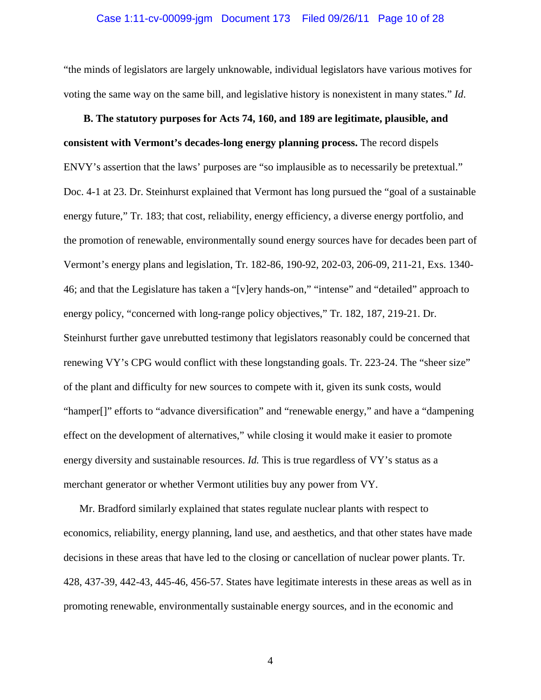#### Case 1:11-cv-00099-jgm Document 173 Filed 09/26/11 Page 10 of 28

"the minds of legislators are largely unknowable, individual legislators have various motives for voting the same way on the same bill, and legislative history is nonexistent in many states." *Id*.

**B. The statutory purposes for Acts 74, 160, and 189 are legitimate, plausible, and consistent with Vermont's decades-long energy planning process.** The record dispels ENVY's assertion that the laws' purposes are "so implausible as to necessarily be pretextual." Doc. 4-1 at 23. Dr. Steinhurst explained that Vermont has long pursued the "goal of a sustainable energy future," Tr. 183; that cost, reliability, energy efficiency, a diverse energy portfolio, and the promotion of renewable, environmentally sound energy sources have for decades been part of Vermont's energy plans and legislation, Tr. 182-86, 190-92, 202-03, 206-09, 211-21, Exs. 1340- 46; and that the Legislature has taken a "[v]ery hands-on," "intense" and "detailed" approach to energy policy, "concerned with long-range policy objectives," Tr. 182, 187, 219-21. Dr. Steinhurst further gave unrebutted testimony that legislators reasonably could be concerned that renewing VY's CPG would conflict with these longstanding goals. Tr. 223-24. The "sheer size" of the plant and difficulty for new sources to compete with it, given its sunk costs, would "hamper[]" efforts to "advance diversification" and "renewable energy," and have a "dampening effect on the development of alternatives," while closing it would make it easier to promote energy diversity and sustainable resources. *Id.* This is true regardless of VY's status as a merchant generator or whether Vermont utilities buy any power from VY.

Mr. Bradford similarly explained that states regulate nuclear plants with respect to economics, reliability, energy planning, land use, and aesthetics, and that other states have made decisions in these areas that have led to the closing or cancellation of nuclear power plants. Tr. 428, 437-39, 442-43, 445-46, 456-57. States have legitimate interests in these areas as well as in promoting renewable, environmentally sustainable energy sources, and in the economic and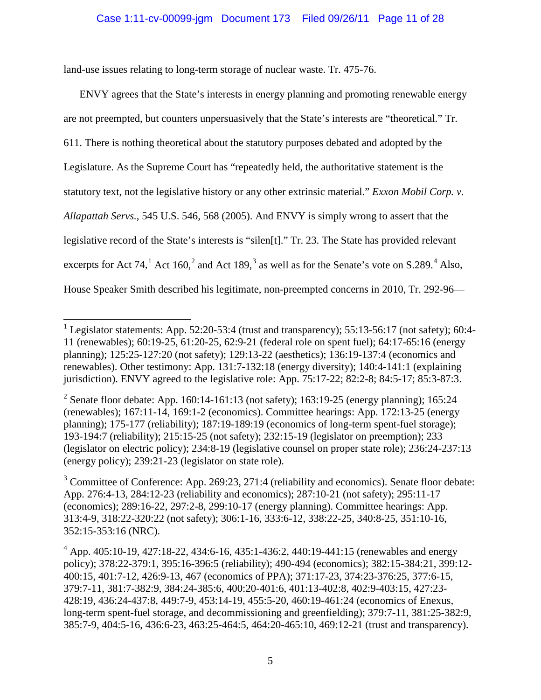land-use issues relating to long-term storage of nuclear waste. Tr. 475-76.

ı

ENVY agrees that the State's interests in energy planning and promoting renewable energy are not preempted, but counters unpersuasively that the State's interests are "theoretical." Tr. 611. There is nothing theoretical about the statutory purposes debated and adopted by the Legislature. As the Supreme Court has "repeatedly held, the authoritative statement is the statutory text, not the legislative history or any other extrinsic material." *Exxon Mobil Corp. v. Allapattah Servs.*, 545 U.S. 546, 568 (2005). And ENVY is simply wrong to assert that the legislative record of the State's interests is "silen[t]." Tr. 23. The State has provided relevant excerpts for Act 74,<sup>[1](#page-10-0)</sup> Act 160,<sup>[2](#page-10-1)</sup> and Act 189,<sup>[3](#page-10-2)</sup> as well as for the Senate's vote on S.289.<sup>[4](#page-10-3)</sup> Also, House Speaker Smith described his legitimate, non-preempted concerns in 2010, Tr. 292-96—

<span id="page-10-0"></span><sup>&</sup>lt;sup>1</sup> Legislator statements: App. 52:20-53:4 (trust and transparency); 55:13-56:17 (not safety); 60:4-11 (renewables); 60:19-25, 61:20-25, 62:9-21 (federal role on spent fuel); 64:17-65:16 (energy planning); 125:25-127:20 (not safety); 129:13-22 (aesthetics); 136:19-137:4 (economics and renewables). Other testimony: App. 131:7-132:18 (energy diversity); 140:4-141:1 (explaining jurisdiction). ENVY agreed to the legislative role: App. 75:17-22; 82:2-8; 84:5-17; 85:3-87:3.

<span id="page-10-1"></span><sup>&</sup>lt;sup>2</sup> Senate floor debate: App. 160:14-161:13 (not safety); 163:19-25 (energy planning); 165:24 (renewables); 167:11-14, 169:1-2 (economics). Committee hearings: App. 172:13-25 (energy planning); 175-177 (reliability); 187:19-189:19 (economics of long-term spent-fuel storage); 193-194:7 (reliability); 215:15-25 (not safety); 232:15-19 (legislator on preemption); 233 (legislator on electric policy); 234:8-19 (legislative counsel on proper state role); 236:24-237:13 (energy policy); 239:21-23 (legislator on state role).

<span id="page-10-2"></span> $3^3$  Committee of Conference: App. 269:23, 271:4 (reliability and economics). Senate floor debate: App. 276:4-13, 284:12-23 (reliability and economics); 287:10-21 (not safety); 295:11-17 (economics); 289:16-22, 297:2-8, 299:10-17 (energy planning). Committee hearings: App. 313:4-9, 318:22-320:22 (not safety); 306:1-16, 333:6-12, 338:22-25, 340:8-25, 351:10-16, 352:15-353:16 (NRC).

<span id="page-10-3"></span><sup>4</sup> App. 405:10-19, 427:18-22, 434:6-16, 435:1-436:2, 440:19-441:15 (renewables and energy policy); 378:22-379:1, 395:16-396:5 (reliability); 490-494 (economics); 382:15-384:21, 399:12- 400:15, 401:7-12, 426:9-13, 467 (economics of PPA); 371:17-23, 374:23-376:25, 377:6-15, 379:7-11, 381:7-382:9, 384:24-385:6, 400:20-401:6, 401:13-402:8, 402:9-403:15, 427:23- 428:19, 436:24-437:8, 449:7-9, 453:14-19, 455:5-20, 460:19-461:24 (economics of Enexus, long-term spent-fuel storage, and decommissioning and greenfielding); 379:7-11, 381:25-382:9, 385:7-9, 404:5-16, 436:6-23, 463:25-464:5, 464:20-465:10, 469:12-21 (trust and transparency).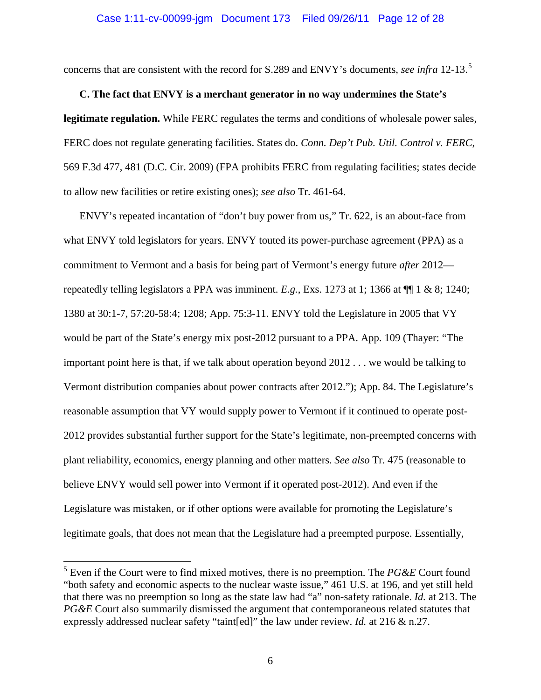### Case 1:11-cv-00099-jgm Document 173 Filed 09/26/11 Page 12 of 28

concerns that are consistent with the record for S.289 and ENVY's documents, *see infra* 12-13. [5](#page-11-0)

### **C. The fact that ENVY is a merchant generator in no way undermines the State's**

**legitimate regulation.** While FERC regulates the terms and conditions of wholesale power sales, FERC does not regulate generating facilities. States do. *Conn. Dep't Pub. Util. Control v. FERC*, 569 F.3d 477, 481 (D.C. Cir. 2009) (FPA prohibits FERC from regulating facilities; states decide to allow new facilities or retire existing ones); *see also* Tr. 461-64.

ENVY's repeated incantation of "don't buy power from us," Tr. 622, is an about-face from what ENVY told legislators for years. ENVY touted its power-purchase agreement (PPA) as a commitment to Vermont and a basis for being part of Vermont's energy future *after* 2012 repeatedly telling legislators a PPA was imminent.  $E.g., Exs.$  1273 at 1; 1366 at  $\P\P$  1 & 8; 1240; 1380 at 30:1-7, 57:20-58:4; 1208; App. 75:3-11. ENVY told the Legislature in 2005 that VY would be part of the State's energy mix post-2012 pursuant to a PPA. App. 109 (Thayer: "The important point here is that, if we talk about operation beyond 2012 . . . we would be talking to Vermont distribution companies about power contracts after 2012."); App. 84. The Legislature's reasonable assumption that VY would supply power to Vermont if it continued to operate post-2012 provides substantial further support for the State's legitimate, non-preempted concerns with plant reliability, economics, energy planning and other matters. *See also* Tr. 475 (reasonable to believe ENVY would sell power into Vermont if it operated post-2012). And even if the Legislature was mistaken, or if other options were available for promoting the Legislature's legitimate goals, that does not mean that the Legislature had a preempted purpose. Essentially,

ı

<span id="page-11-0"></span><sup>5</sup> Even if the Court were to find mixed motives, there is no preemption. The *PG&E* Court found "both safety and economic aspects to the nuclear waste issue," 461 U.S. at 196, and yet still held that there was no preemption so long as the state law had "a" non-safety rationale. *Id.* at 213. The *PG&E* Court also summarily dismissed the argument that contemporaneous related statutes that expressly addressed nuclear safety "taint[ed]" the law under review. *Id.* at 216 & n.27.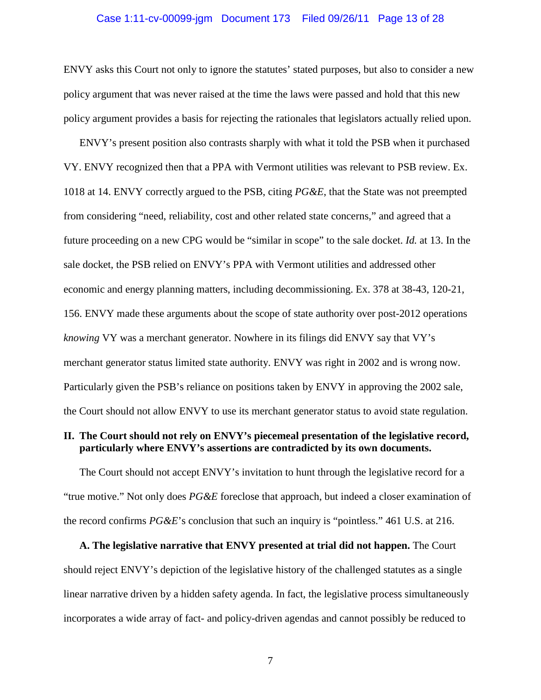### Case 1:11-cv-00099-jgm Document 173 Filed 09/26/11 Page 13 of 28

ENVY asks this Court not only to ignore the statutes' stated purposes, but also to consider a new policy argument that was never raised at the time the laws were passed and hold that this new policy argument provides a basis for rejecting the rationales that legislators actually relied upon.

ENVY's present position also contrasts sharply with what it told the PSB when it purchased VY. ENVY recognized then that a PPA with Vermont utilities was relevant to PSB review. Ex. 1018 at 14. ENVY correctly argued to the PSB, citing *PG&E*, that the State was not preempted from considering "need, reliability, cost and other related state concerns," and agreed that a future proceeding on a new CPG would be "similar in scope" to the sale docket. *Id.* at 13. In the sale docket, the PSB relied on ENVY's PPA with Vermont utilities and addressed other economic and energy planning matters, including decommissioning. Ex. 378 at 38-43, 120-21, 156. ENVY made these arguments about the scope of state authority over post-2012 operations *knowing* VY was a merchant generator. Nowhere in its filings did ENVY say that VY's merchant generator status limited state authority. ENVY was right in 2002 and is wrong now. Particularly given the PSB's reliance on positions taken by ENVY in approving the 2002 sale, the Court should not allow ENVY to use its merchant generator status to avoid state regulation.

### **II. The Court should not rely on ENVY's piecemeal presentation of the legislative record, particularly where ENVY's assertions are contradicted by its own documents.**

The Court should not accept ENVY's invitation to hunt through the legislative record for a "true motive." Not only does *PG&E* foreclose that approach, but indeed a closer examination of the record confirms *PG&E*'s conclusion that such an inquiry is "pointless." 461 U.S. at 216.

**A. The legislative narrative that ENVY presented at trial did not happen.** The Court should reject ENVY's depiction of the legislative history of the challenged statutes as a single linear narrative driven by a hidden safety agenda. In fact, the legislative process simultaneously incorporates a wide array of fact- and policy-driven agendas and cannot possibly be reduced to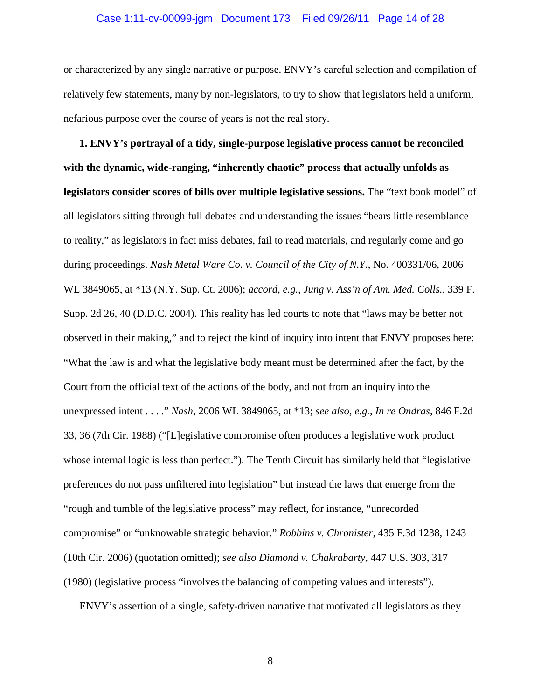#### Case 1:11-cv-00099-jgm Document 173 Filed 09/26/11 Page 14 of 28

or characterized by any single narrative or purpose. ENVY's careful selection and compilation of relatively few statements, many by non-legislators, to try to show that legislators held a uniform, nefarious purpose over the course of years is not the real story.

**1. ENVY's portrayal of a tidy, single-purpose legislative process cannot be reconciled with the dynamic, wide-ranging, "inherently chaotic" process that actually unfolds as legislators consider scores of bills over multiple legislative sessions.** The "text book model" of all legislators sitting through full debates and understanding the issues "bears little resemblance to reality," as legislators in fact miss debates, fail to read materials, and regularly come and go during proceedings. *Nash Metal Ware Co. v. Council of the City of N.Y.*, No. 400331/06, 2006 WL 3849065, at \*13 (N.Y. Sup. Ct. 2006); *accord, e.g.*, *Jung v. Ass'n of Am. Med. Colls.*, 339 F. Supp. 2d 26, 40 (D.D.C. 2004). This reality has led courts to note that "laws may be better not observed in their making," and to reject the kind of inquiry into intent that ENVY proposes here: "What the law is and what the legislative body meant must be determined after the fact, by the Court from the official text of the actions of the body, and not from an inquiry into the unexpressed intent . . . ." *Nash*, 2006 WL 3849065, at \*13; *see also, e.g.*, *In re Ondras*, 846 F.2d 33, 36 (7th Cir. 1988) ("[L]egislative compromise often produces a legislative work product whose internal logic is less than perfect."). The Tenth Circuit has similarly held that "legislative preferences do not pass unfiltered into legislation" but instead the laws that emerge from the "rough and tumble of the legislative process" may reflect, for instance, "unrecorded compromise" or "unknowable strategic behavior." *Robbins v. Chronister*, 435 F.3d 1238, 1243 (10th Cir. 2006) (quotation omitted); *see also Diamond v. Chakrabarty*, 447 U.S. 303, 317 (1980) (legislative process "involves the balancing of competing values and interests").

ENVY's assertion of a single, safety-driven narrative that motivated all legislators as they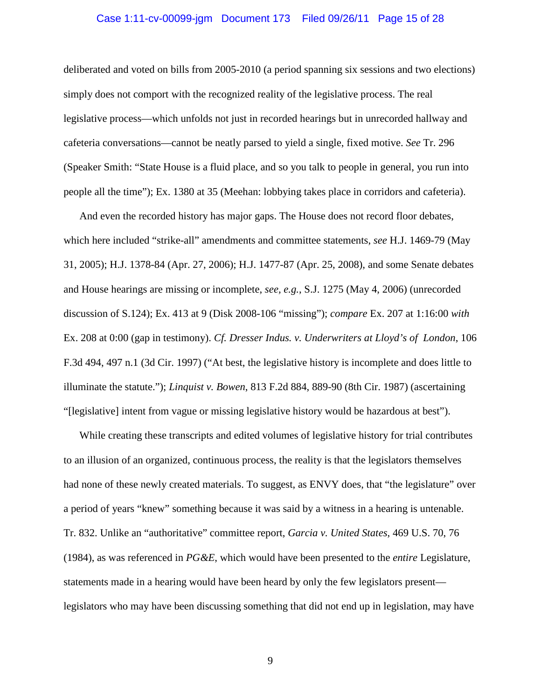#### Case 1:11-cv-00099-jgm Document 173 Filed 09/26/11 Page 15 of 28

deliberated and voted on bills from 2005-2010 (a period spanning six sessions and two elections) simply does not comport with the recognized reality of the legislative process. The real legislative process—which unfolds not just in recorded hearings but in unrecorded hallway and cafeteria conversations—cannot be neatly parsed to yield a single, fixed motive. *See* Tr. 296 (Speaker Smith: "State House is a fluid place, and so you talk to people in general, you run into people all the time"); Ex. 1380 at 35 (Meehan: lobbying takes place in corridors and cafeteria).

And even the recorded history has major gaps. The House does not record floor debates, which here included "strike-all" amendments and committee statements, *see* H.J. 1469-79 (May 31, 2005); H.J. 1378-84 (Apr. 27, 2006); H.J. 1477-87 (Apr. 25, 2008), and some Senate debates and House hearings are missing or incomplete, *see, e.g.*, S.J. 1275 (May 4, 2006) (unrecorded discussion of S.124); Ex. 413 at 9 (Disk 2008-106 "missing"); *compare* Ex. 207 at 1:16:00 *with* Ex. 208 at 0:00 (gap in testimony). *Cf. Dresser Indus. v. Underwriters at Lloyd's of London*, 106 F.3d 494, 497 n.1 (3d Cir. 1997) ("At best, the legislative history is incomplete and does little to illuminate the statute."); *Linquist v. Bowen*, 813 F.2d 884, 889-90 (8th Cir. 1987) (ascertaining "[legislative] intent from vague or missing legislative history would be hazardous at best").

While creating these transcripts and edited volumes of legislative history for trial contributes to an illusion of an organized, continuous process, the reality is that the legislators themselves had none of these newly created materials. To suggest, as ENVY does, that "the legislature" over a period of years "knew" something because it was said by a witness in a hearing is untenable. Tr. 832. Unlike an "authoritative" committee report, *Garcia v. United States*, 469 U.S. 70, 76 (1984), as was referenced in *PG&E*, which would have been presented to the *entire* Legislature, statements made in a hearing would have been heard by only the few legislators present legislators who may have been discussing something that did not end up in legislation, may have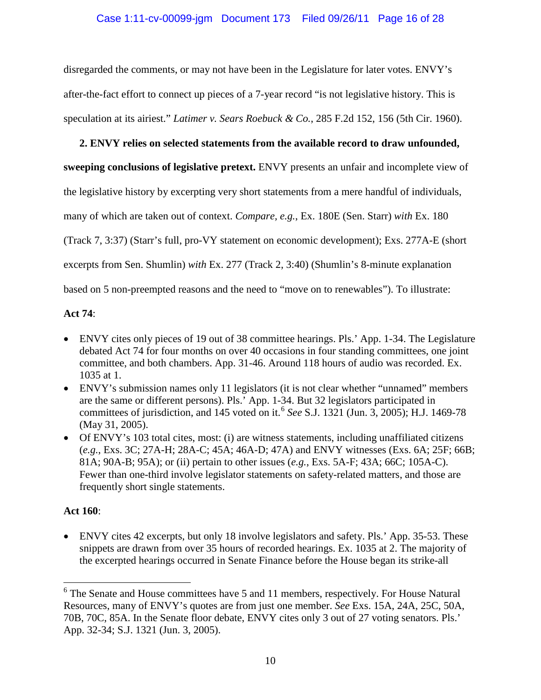disregarded the comments, or may not have been in the Legislature for later votes. ENVY's after-the-fact effort to connect up pieces of a 7-year record "is not legislative history. This is speculation at its airiest." *Latimer v. Sears Roebuck & Co.*, 285 F.2d 152, 156 (5th Cir. 1960).

### **2. ENVY relies on selected statements from the available record to draw unfounded,**

**sweeping conclusions of legislative pretext.** ENVY presents an unfair and incomplete view of

the legislative history by excerpting very short statements from a mere handful of individuals,

many of which are taken out of context. *Compare, e.g.*, Ex. 180E (Sen. Starr) *with* Ex. 180

(Track 7, 3:37) (Starr's full, pro-VY statement on economic development); Exs. 277A-E (short

excerpts from Sen. Shumlin) *with* Ex. 277 (Track 2, 3:40) (Shumlin's 8-minute explanation

based on 5 non-preempted reasons and the need to "move on to renewables"). To illustrate:

### **Act 74**:

- ENVY cites only pieces of 19 out of 38 committee hearings. Pls.' App. 1-34. The Legislature debated Act 74 for four months on over 40 occasions in four standing committees, one joint committee, and both chambers. App. 31-46. Around 118 hours of audio was recorded. Ex. 1035 at 1.
- ENVY's submission names only 11 legislators (it is not clear whether "unnamed" members are the same or different persons). Pls.' App. 1-34. But 32 legislators participated in committees of jurisdiction, and 145 voted on it.[6](#page-15-0) *See* S.J. 1321 (Jun. 3, 2005); H.J. 1469-78 (May 31, 2005).
- Of ENVY's 103 total cites, most: (i) are witness statements, including unaffiliated citizens (*e.g.*, Exs. 3C; 27A-H; 28A-C; 45A; 46A-D; 47A) and ENVY witnesses (Exs. 6A; 25F; 66B; 81A; 90A-B; 95A); or (ii) pertain to other issues (*e.g.*, Exs. 5A-F; 43A; 66C; 105A-C). Fewer than one-third involve legislator statements on safety-related matters, and those are frequently short single statements.

### **Act 160**:

 $\overline{\phantom{0}}$ 

• ENVY cites 42 excerpts, but only 18 involve legislators and safety. Pls.' App. 35-53. These snippets are drawn from over 35 hours of recorded hearings. Ex. 1035 at 2. The majority of the excerpted hearings occurred in Senate Finance before the House began its strike-all

<span id="page-15-0"></span><sup>6</sup> The Senate and House committees have 5 and 11 members, respectively. For House Natural Resources, many of ENVY's quotes are from just one member. *See* Exs. 15A, 24A, 25C, 50A, 70B, 70C, 85A. In the Senate floor debate, ENVY cites only 3 out of 27 voting senators. Pls.' App. 32-34; S.J. 1321 (Jun. 3, 2005).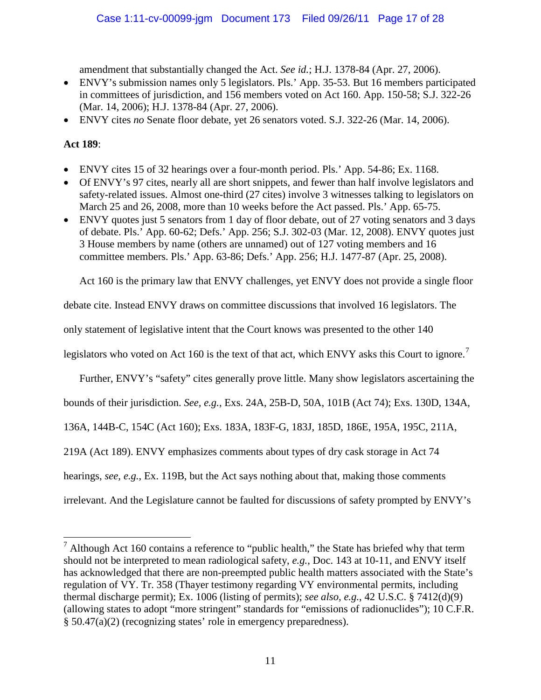amendment that substantially changed the Act. *See id.*; H.J. 1378-84 (Apr. 27, 2006).

- ENVY's submission names only 5 legislators. Pls.' App. 35-53. But 16 members participated in committees of jurisdiction, and 156 members voted on Act 160. App. 150-58; S.J. 322-26 (Mar. 14, 2006); H.J. 1378-84 (Apr. 27, 2006).
- ENVY cites *no* Senate floor debate, yet 26 senators voted. S.J. 322-26 (Mar. 14, 2006).

### **Act 189**:

 $\overline{\phantom{0}}$ 

- ENVY cites 15 of 32 hearings over a four-month period. Pls.' App. 54-86; Ex. 1168.
- Of ENVY's 97 cites, nearly all are short snippets, and fewer than half involve legislators and safety-related issues. Almost one-third (27 cites) involve 3 witnesses talking to legislators on March 25 and 26, 2008, more than 10 weeks before the Act passed. Pls.' App. 65-75.
- ENVY quotes just 5 senators from 1 day of floor debate, out of 27 voting senators and 3 days of debate. Pls.' App. 60-62; Defs.' App. 256; S.J. 302-03 (Mar. 12, 2008). ENVY quotes just 3 House members by name (others are unnamed) out of 127 voting members and 16 committee members. Pls.' App. 63-86; Defs.' App. 256; H.J. 1477-87 (Apr. 25, 2008).

Act 160 is the primary law that ENVY challenges, yet ENVY does not provide a single floor

debate cite. Instead ENVY draws on committee discussions that involved 16 legislators. The

only statement of legislative intent that the Court knows was presented to the other 140

legislators who voted on Act 160 is the text of that act, which ENVY asks this Court to ignore.<sup>[7](#page-16-0)</sup>

Further, ENVY's "safety" cites generally prove little. Many show legislators ascertaining the

bounds of their jurisdiction. *See, e.g.*, Exs. 24A, 25B-D, 50A, 101B (Act 74); Exs. 130D, 134A,

136A, 144B-C, 154C (Act 160); Exs. 183A, 183F-G, 183J, 185D, 186E, 195A, 195C, 211A,

219A (Act 189). ENVY emphasizes comments about types of dry cask storage in Act 74

hearings, *see, e.g.*, Ex. 119B, but the Act says nothing about that, making those comments

irrelevant. And the Legislature cannot be faulted for discussions of safety prompted by ENVY's

<span id="page-16-0"></span> $<sup>7</sup>$  Although Act 160 contains a reference to "public health," the State has briefed why that term</sup> should not be interpreted to mean radiological safety, *e.g.*, Doc. 143 at 10-11, and ENVY itself has acknowledged that there are non-preempted public health matters associated with the State's regulation of VY. Tr. 358 (Thayer testimony regarding VY environmental permits, including thermal discharge permit); Ex. 1006 (listing of permits); *see also, e.g.*, 42 U.S.C. § 7412(d)(9) (allowing states to adopt "more stringent" standards for "emissions of radionuclides"); 10 C.F.R. § 50.47(a)(2) (recognizing states' role in emergency preparedness).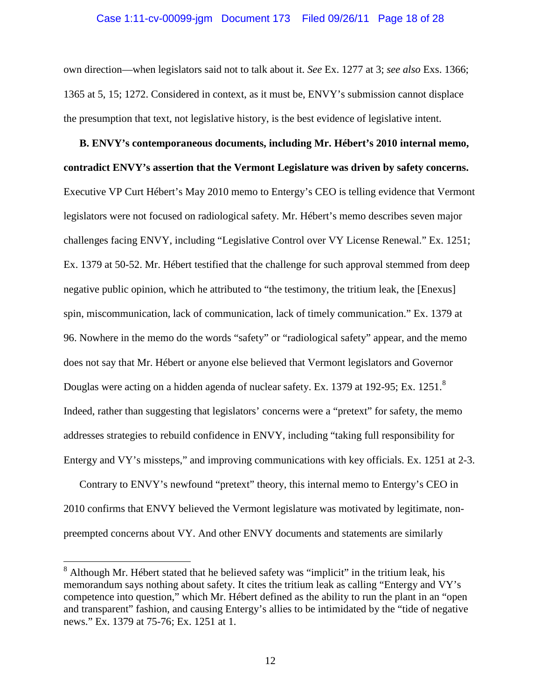#### Case 1:11-cv-00099-jgm Document 173 Filed 09/26/11 Page 18 of 28

own direction—when legislators said not to talk about it. *See* Ex. 1277 at 3; *see also* Exs. 1366; 1365 at 5, 15; 1272. Considered in context, as it must be, ENVY's submission cannot displace the presumption that text, not legislative history, is the best evidence of legislative intent.

**B. ENVY's contemporaneous documents, including Mr. Hébert's 2010 internal memo, contradict ENVY's assertion that the Vermont Legislature was driven by safety concerns.** Executive VP Curt Hébert's May 2010 memo to Entergy's CEO is telling evidence that Vermont legislators were not focused on radiological safety. Mr. Hébert's memo describes seven major challenges facing ENVY, including "Legislative Control over VY License Renewal." Ex. 1251; Ex. 1379 at 50-52. Mr. Hébert testified that the challenge for such approval stemmed from deep negative public opinion, which he attributed to "the testimony, the tritium leak, the [Enexus] spin, miscommunication, lack of communication, lack of timely communication." Ex. 1379 at 96. Nowhere in the memo do the words "safety" or "radiological safety" appear, and the memo does not say that Mr. Hébert or anyone else believed that Vermont legislators and Governor Douglas were acting on a hidden agenda of nuclear safety. Ex. 1379 at 192-95; Ex. 1251.<sup>[8](#page-17-0)</sup> Indeed, rather than suggesting that legislators' concerns were a "pretext" for safety, the memo addresses strategies to rebuild confidence in ENVY, including "taking full responsibility for Entergy and VY's missteps," and improving communications with key officials. Ex. 1251 at 2-3.

Contrary to ENVY's newfound "pretext" theory, this internal memo to Entergy's CEO in 2010 confirms that ENVY believed the Vermont legislature was motivated by legitimate, nonpreempted concerns about VY. And other ENVY documents and statements are similarly

ı

<span id="page-17-0"></span><sup>&</sup>lt;sup>8</sup> Although Mr. Hébert stated that he believed safety was "implicit" in the tritium leak, his memorandum says nothing about safety. It cites the tritium leak as calling "Entergy and VY's competence into question," which Mr. Hébert defined as the ability to run the plant in an "open and transparent" fashion, and causing Entergy's allies to be intimidated by the "tide of negative news." Ex. 1379 at 75-76; Ex. 1251 at 1.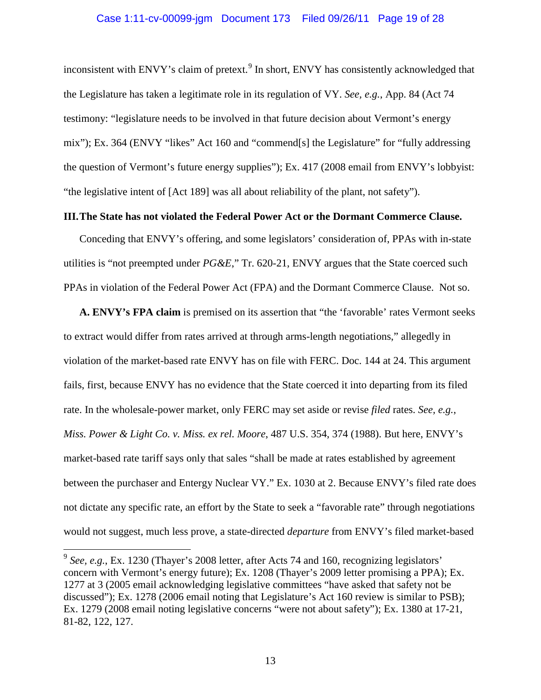### Case 1:11-cv-00099-jgm Document 173 Filed 09/26/11 Page 19 of 28

inconsistent with ENVY's claim of pretext.<sup>[9](#page-18-0)</sup> In short, ENVY has consistently acknowledged that the Legislature has taken a legitimate role in its regulation of VY. *See, e.g.*, App. 84 (Act 74 testimony: "legislature needs to be involved in that future decision about Vermont's energy mix"); Ex. 364 (ENVY "likes" Act 160 and "commend[s] the Legislature" for "fully addressing the question of Vermont's future energy supplies"); Ex. 417 (2008 email from ENVY's lobbyist: "the legislative intent of [Act 189] was all about reliability of the plant, not safety").

### **III.The State has not violated the Federal Power Act or the Dormant Commerce Clause.**

Conceding that ENVY's offering, and some legislators' consideration of, PPAs with in-state utilities is "not preempted under *PG&E*," Tr. 620-21, ENVY argues that the State coerced such PPAs in violation of the Federal Power Act (FPA) and the Dormant Commerce Clause. Not so.

**A. ENVY's FPA claim** is premised on its assertion that "the 'favorable' rates Vermont seeks to extract would differ from rates arrived at through arms-length negotiations," allegedly in violation of the market-based rate ENVY has on file with FERC. Doc. 144 at 24. This argument fails, first, because ENVY has no evidence that the State coerced it into departing from its filed rate. In the wholesale-power market, only FERC may set aside or revise *filed* rates. *See, e.g.*, *Miss. Power & Light Co. v. Miss. ex rel. Moore*, 487 U.S. 354, 374 (1988). But here, ENVY's market-based rate tariff says only that sales "shall be made at rates established by agreement between the purchaser and Entergy Nuclear VY." Ex. 1030 at 2. Because ENVY's filed rate does not dictate any specific rate, an effort by the State to seek a "favorable rate" through negotiations would not suggest, much less prove, a state-directed *departure* from ENVY's filed market-based

ı

<span id="page-18-0"></span><sup>&</sup>lt;sup>9</sup> See, e.g., Ex. 1230 (Thayer's 2008 letter, after Acts 74 and 160, recognizing legislators' concern with Vermont's energy future); Ex. 1208 (Thayer's 2009 letter promising a PPA); Ex. 1277 at 3 (2005 email acknowledging legislative committees "have asked that safety not be discussed"); Ex. 1278 (2006 email noting that Legislature's Act 160 review is similar to PSB); Ex. 1279 (2008 email noting legislative concerns "were not about safety"); Ex. 1380 at 17-21, 81-82, 122, 127.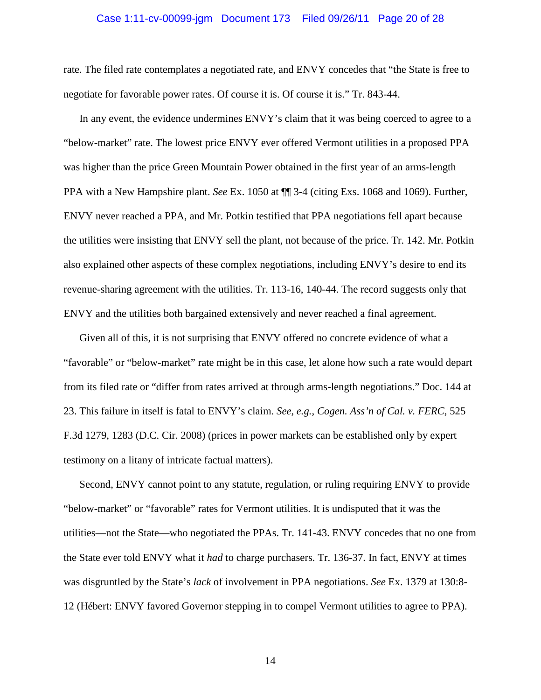#### Case 1:11-cv-00099-jgm Document 173 Filed 09/26/11 Page 20 of 28

rate. The filed rate contemplates a negotiated rate, and ENVY concedes that "the State is free to negotiate for favorable power rates. Of course it is. Of course it is." Tr. 843-44.

In any event, the evidence undermines ENVY's claim that it was being coerced to agree to a "below-market" rate. The lowest price ENVY ever offered Vermont utilities in a proposed PPA was higher than the price Green Mountain Power obtained in the first year of an arms-length PPA with a New Hampshire plant. *See* Ex. 1050 at ¶¶ 3-4 (citing Exs. 1068 and 1069). Further, ENVY never reached a PPA, and Mr. Potkin testified that PPA negotiations fell apart because the utilities were insisting that ENVY sell the plant, not because of the price. Tr. 142. Mr. Potkin also explained other aspects of these complex negotiations, including ENVY's desire to end its revenue-sharing agreement with the utilities. Tr. 113-16, 140-44. The record suggests only that ENVY and the utilities both bargained extensively and never reached a final agreement.

Given all of this, it is not surprising that ENVY offered no concrete evidence of what a "favorable" or "below-market" rate might be in this case, let alone how such a rate would depart from its filed rate or "differ from rates arrived at through arms-length negotiations." Doc. 144 at 23. This failure in itself is fatal to ENVY's claim. *See, e.g.*, *Cogen. Ass'n of Cal. v. FERC*, 525 F.3d 1279, 1283 (D.C. Cir. 2008) (prices in power markets can be established only by expert testimony on a litany of intricate factual matters).

Second, ENVY cannot point to any statute, regulation, or ruling requiring ENVY to provide "below-market" or "favorable" rates for Vermont utilities. It is undisputed that it was the utilities—not the State—who negotiated the PPAs. Tr. 141-43. ENVY concedes that no one from the State ever told ENVY what it *had* to charge purchasers. Tr. 136-37. In fact, ENVY at times was disgruntled by the State's *lack* of involvement in PPA negotiations. *See* Ex. 1379 at 130:8- 12 (Hébert: ENVY favored Governor stepping in to compel Vermont utilities to agree to PPA).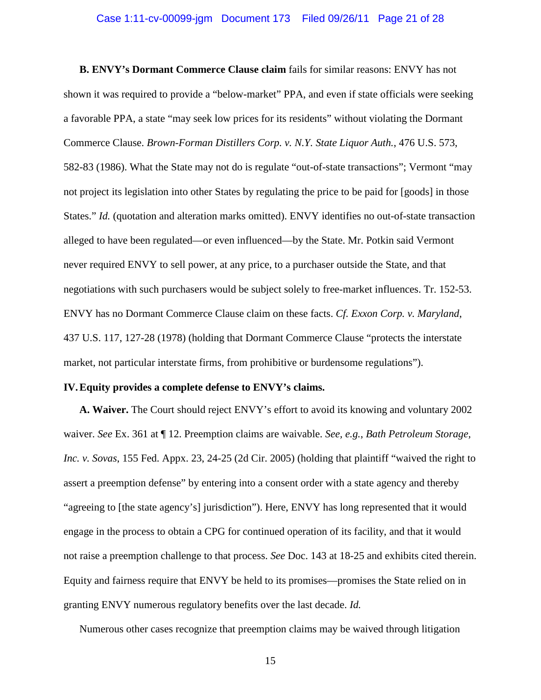### Case 1:11-cv-00099-jgm Document 173 Filed 09/26/11 Page 21 of 28

**B. ENVY's Dormant Commerce Clause claim** fails for similar reasons: ENVY has not shown it was required to provide a "below-market" PPA, and even if state officials were seeking a favorable PPA, a state "may seek low prices for its residents" without violating the Dormant Commerce Clause. *Brown-Forman Distillers Corp. v. N.Y. State Liquor Auth.*, 476 U.S. 573, 582-83 (1986). What the State may not do is regulate "out-of-state transactions"; Vermont "may not project its legislation into other States by regulating the price to be paid for [goods] in those States." *Id.* (quotation and alteration marks omitted). ENVY identifies no out-of-state transaction alleged to have been regulated—or even influenced—by the State. Mr. Potkin said Vermont never required ENVY to sell power, at any price, to a purchaser outside the State, and that negotiations with such purchasers would be subject solely to free-market influences. Tr. 152-53. ENVY has no Dormant Commerce Clause claim on these facts. *Cf. Exxon Corp. v. Maryland*, 437 U.S. 117, 127-28 (1978) (holding that Dormant Commerce Clause "protects the interstate market, not particular interstate firms, from prohibitive or burdensome regulations").

#### **IV.Equity provides a complete defense to ENVY's claims.**

**A. Waiver.** The Court should reject ENVY's effort to avoid its knowing and voluntary 2002 waiver. *See* Ex. 361 at ¶ 12. Preemption claims are waivable. *See, e.g.*, *Bath Petroleum Storage, Inc. v. Sovas*, 155 Fed. Appx. 23, 24-25 (2d Cir. 2005) (holding that plaintiff "waived the right to assert a preemption defense" by entering into a consent order with a state agency and thereby "agreeing to [the state agency's] jurisdiction"). Here, ENVY has long represented that it would engage in the process to obtain a CPG for continued operation of its facility, and that it would not raise a preemption challenge to that process. *See* Doc. 143 at 18-25 and exhibits cited therein. Equity and fairness require that ENVY be held to its promises—promises the State relied on in granting ENVY numerous regulatory benefits over the last decade. *Id.*

Numerous other cases recognize that preemption claims may be waived through litigation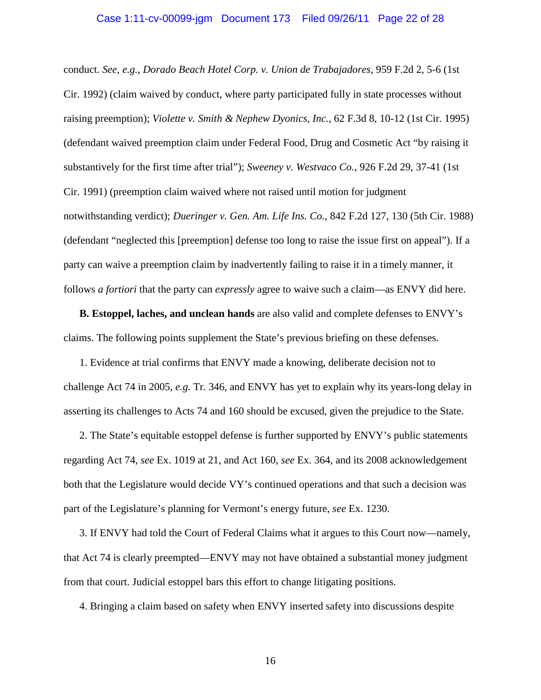#### Case 1:11-cv-00099-jgm Document 173 Filed 09/26/11 Page 22 of 28

conduct. *See, e.g.*, *Dorado Beach Hotel Corp. v. Union de Trabajadores*, 959 F.2d 2, 5-6 (1st Cir. 1992) (claim waived by conduct, where party participated fully in state processes without raising preemption); *Violette v. Smith & Nephew Dyonics, Inc.*, 62 F.3d 8, 10-12 (1st Cir. 1995) (defendant waived preemption claim under Federal Food, Drug and Cosmetic Act "by raising it substantively for the first time after trial"); *Sweeney v. Westvaco Co.*, 926 F.2d 29, 37-41 (1st Cir. 1991) (preemption claim waived where not raised until motion for judgment notwithstanding verdict); *Dueringer v. Gen. Am. Life Ins. Co.*, 842 F.2d 127, 130 (5th Cir. 1988) (defendant "neglected this [preemption] defense too long to raise the issue first on appeal"). If a party can waive a preemption claim by inadvertently failing to raise it in a timely manner, it follows *a fortiori* that the party can *expressly* agree to waive such a claim—as ENVY did here.

**B. Estoppel, laches, and unclean hands** are also valid and complete defenses to ENVY's claims. The following points supplement the State's previous briefing on these defenses.

1. Evidence at trial confirms that ENVY made a knowing, deliberate decision not to challenge Act 74 in 2005, *e.g.* Tr. 346, and ENVY has yet to explain why its years-long delay in asserting its challenges to Acts 74 and 160 should be excused, given the prejudice to the State.

2. The State's equitable estoppel defense is further supported by ENVY's public statements regarding Act 74, *see* Ex. 1019 at 21, and Act 160, *see* Ex. 364, and its 2008 acknowledgement both that the Legislature would decide VY's continued operations and that such a decision was part of the Legislature's planning for Vermont's energy future, *see* Ex. 1230.

3. If ENVY had told the Court of Federal Claims what it argues to this Court now—namely, that Act 74 is clearly preempted—ENVY may not have obtained a substantial money judgment from that court. Judicial estoppel bars this effort to change litigating positions.

4. Bringing a claim based on safety when ENVY inserted safety into discussions despite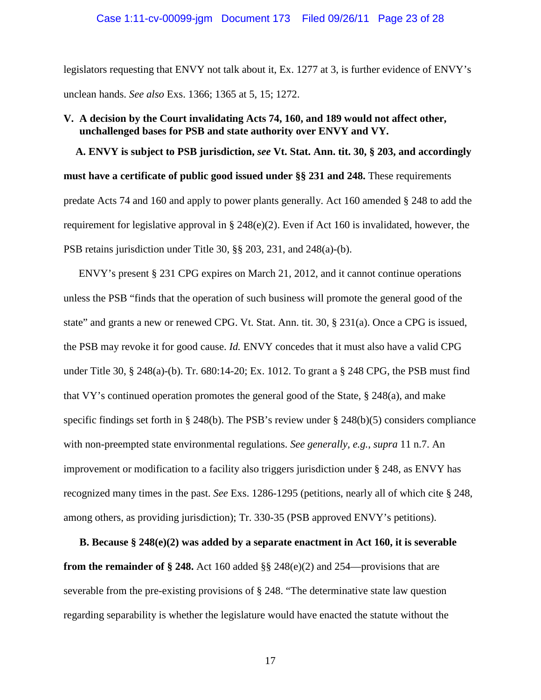### Case 1:11-cv-00099-jgm Document 173 Filed 09/26/11 Page 23 of 28

legislators requesting that ENVY not talk about it, Ex. 1277 at 3, is further evidence of ENVY's unclean hands. *See also* Exs. 1366; 1365 at 5, 15; 1272.

### **V. A decision by the Court invalidating Acts 74, 160, and 189 would not affect other, unchallenged bases for PSB and state authority over ENVY and VY.**

**A. ENVY is subject to PSB jurisdiction,** *see* **Vt. Stat. Ann. tit. 30, § 203, and accordingly must have a certificate of public good issued under §§ 231 and 248.** These requirements predate Acts 74 and 160 and apply to power plants generally. Act 160 amended § 248 to add the requirement for legislative approval in § 248(e)(2). Even if Act 160 is invalidated, however, the PSB retains jurisdiction under Title 30, §§ 203, 231, and 248(a)-(b).

ENVY's present § 231 CPG expires on March 21, 2012, and it cannot continue operations unless the PSB "finds that the operation of such business will promote the general good of the state" and grants a new or renewed CPG. Vt. Stat. Ann. tit. 30, § 231(a). Once a CPG is issued, the PSB may revoke it for good cause. *Id.* ENVY concedes that it must also have a valid CPG under Title 30, § 248(a)-(b). Tr. 680:14-20; Ex. 1012. To grant a § 248 CPG, the PSB must find that VY's continued operation promotes the general good of the State, § 248(a), and make specific findings set forth in § 248(b). The PSB's review under § 248(b)(5) considers compliance with non-preempted state environmental regulations. *See generally, e.g.*, *supra* 11 n.7. An improvement or modification to a facility also triggers jurisdiction under § 248, as ENVY has recognized many times in the past. *See* Exs. 1286-1295 (petitions, nearly all of which cite § 248, among others, as providing jurisdiction); Tr. 330-35 (PSB approved ENVY's petitions).

**B. Because § 248(e)(2) was added by a separate enactment in Act 160, it is severable from the remainder of § 248.** Act 160 added §§ 248(e)(2) and 254—provisions that are severable from the pre-existing provisions of § 248. "The determinative state law question regarding separability is whether the legislature would have enacted the statute without the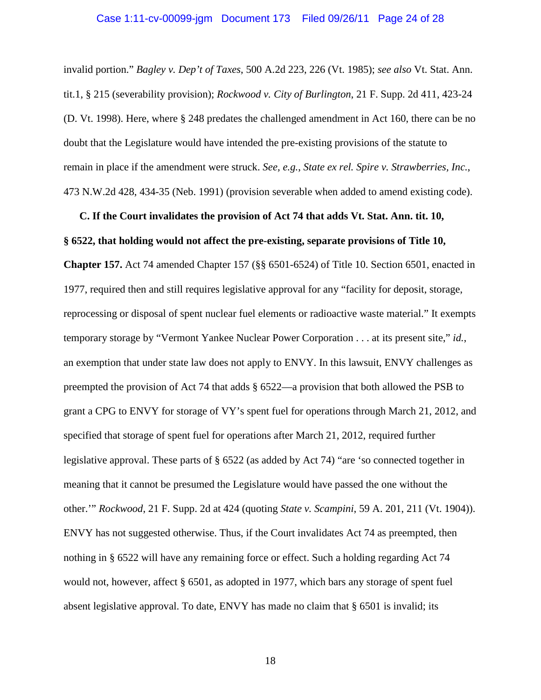#### Case 1:11-cv-00099-jgm Document 173 Filed 09/26/11 Page 24 of 28

invalid portion." *Bagley v. Dep't of Taxes*, 500 A.2d 223, 226 (Vt. 1985); *see also* Vt. Stat. Ann. tit.1, § 215 (severability provision); *Rockwood v. City of Burlington*, 21 F. Supp. 2d 411, 423-24 (D. Vt. 1998). Here, where § 248 predates the challenged amendment in Act 160, there can be no doubt that the Legislature would have intended the pre-existing provisions of the statute to remain in place if the amendment were struck. *See, e.g.*, *State ex rel. Spire v. Strawberries, Inc.*, 473 N.W.2d 428, 434-35 (Neb. 1991) (provision severable when added to amend existing code).

# **C. If the Court invalidates the provision of Act 74 that adds Vt. Stat. Ann. tit. 10, § 6522, that holding would not affect the pre-existing, separate provisions of Title 10,**

**Chapter 157.** Act 74 amended Chapter 157 (§§ 6501-6524) of Title 10. Section 6501, enacted in 1977, required then and still requires legislative approval for any "facility for deposit, storage, reprocessing or disposal of spent nuclear fuel elements or radioactive waste material." It exempts temporary storage by "Vermont Yankee Nuclear Power Corporation . . . at its present site," *id.*, an exemption that under state law does not apply to ENVY. In this lawsuit, ENVY challenges as preempted the provision of Act 74 that adds § 6522—a provision that both allowed the PSB to grant a CPG to ENVY for storage of VY's spent fuel for operations through March 21, 2012, and specified that storage of spent fuel for operations after March 21, 2012, required further legislative approval. These parts of § 6522 (as added by Act 74) "are 'so connected together in meaning that it cannot be presumed the Legislature would have passed the one without the other.'" *Rockwood*, 21 F. Supp. 2d at 424 (quoting *State v. Scampini*, 59 A. 201, 211 (Vt. 1904)). ENVY has not suggested otherwise. Thus, if the Court invalidates Act 74 as preempted, then nothing in § 6522 will have any remaining force or effect. Such a holding regarding Act 74 would not, however, affect § 6501, as adopted in 1977, which bars any storage of spent fuel absent legislative approval. To date, ENVY has made no claim that  $\S$  6501 is invalid; its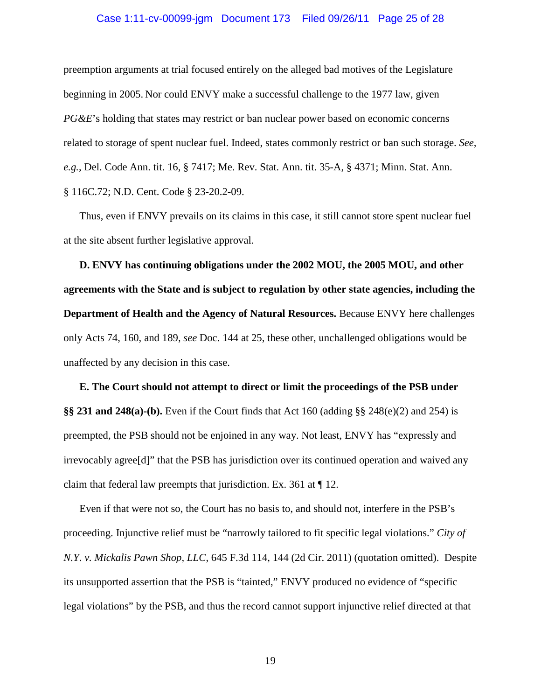#### Case 1:11-cv-00099-jgm Document 173 Filed 09/26/11 Page 25 of 28

preemption arguments at trial focused entirely on the alleged bad motives of the Legislature beginning in 2005. Nor could ENVY make a successful challenge to the 1977 law, given *PG&E*'s holding that states may restrict or ban nuclear power based on economic concerns related to storage of spent nuclear fuel. Indeed, states commonly restrict or ban such storage. *See, e.g.*, Del. Code Ann. tit. 16, § 7417; Me. Rev. Stat. Ann. tit. 35-A, § 4371; Minn. Stat. Ann. § 116C.72; N.D. Cent. Code § 23-20.2-09.

Thus, even if ENVY prevails on its claims in this case, it still cannot store spent nuclear fuel at the site absent further legislative approval.

**D. ENVY has continuing obligations under the 2002 MOU, the 2005 MOU, and other agreements with the State and is subject to regulation by other state agencies, including the Department of Health and the Agency of Natural Resources.** Because ENVY here challenges only Acts 74, 160, and 189, *see* Doc. 144 at 25, these other, unchallenged obligations would be unaffected by any decision in this case.

**E. The Court should not attempt to direct or limit the proceedings of the PSB under §§ 231 and 248(a)-(b).** Even if the Court finds that Act 160 (adding §§ 248(e)(2) and 254) is preempted, the PSB should not be enjoined in any way. Not least, ENVY has "expressly and irrevocably agree[d]" that the PSB has jurisdiction over its continued operation and waived any claim that federal law preempts that jurisdiction. Ex. 361 at ¶ 12.

Even if that were not so, the Court has no basis to, and should not, interfere in the PSB's proceeding. Injunctive relief must be "narrowly tailored to fit specific legal violations." *City of N.Y. v. Mickalis Pawn Shop, LLC*, 645 F.3d 114, 144 (2d Cir. 2011) (quotation omitted). Despite its unsupported assertion that the PSB is "tainted," ENVY produced no evidence of "specific legal violations" by the PSB, and thus the record cannot support injunctive relief directed at that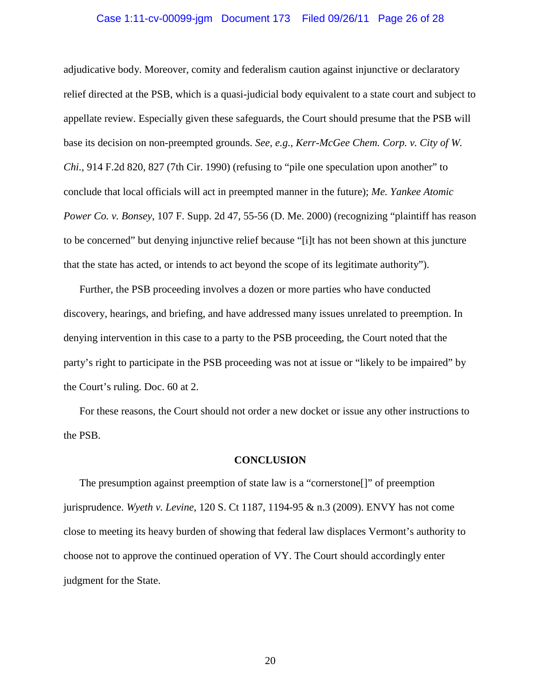#### Case 1:11-cv-00099-jgm Document 173 Filed 09/26/11 Page 26 of 28

adjudicative body. Moreover, comity and federalism caution against injunctive or declaratory relief directed at the PSB, which is a quasi-judicial body equivalent to a state court and subject to appellate review. Especially given these safeguards, the Court should presume that the PSB will base its decision on non-preempted grounds. *See, e.g.*, *Kerr-McGee Chem. Corp. v. City of W. Chi.*, 914 F.2d 820, 827 (7th Cir. 1990) (refusing to "pile one speculation upon another" to conclude that local officials will act in preempted manner in the future); *Me. Yankee Atomic Power Co. v. Bonsey*, 107 F. Supp. 2d 47, 55-56 (D. Me. 2000) (recognizing "plaintiff has reason to be concerned" but denying injunctive relief because "[i]t has not been shown at this juncture that the state has acted, or intends to act beyond the scope of its legitimate authority").

Further, the PSB proceeding involves a dozen or more parties who have conducted discovery, hearings, and briefing, and have addressed many issues unrelated to preemption. In denying intervention in this case to a party to the PSB proceeding, the Court noted that the party's right to participate in the PSB proceeding was not at issue or "likely to be impaired" by the Court's ruling. Doc. 60 at 2.

For these reasons, the Court should not order a new docket or issue any other instructions to the PSB.

#### **CONCLUSION**

The presumption against preemption of state law is a "cornerstone[]" of preemption jurisprudence. *Wyeth v. Levine*, 120 S. Ct 1187, 1194-95 & n.3 (2009). ENVY has not come close to meeting its heavy burden of showing that federal law displaces Vermont's authority to choose not to approve the continued operation of VY. The Court should accordingly enter judgment for the State.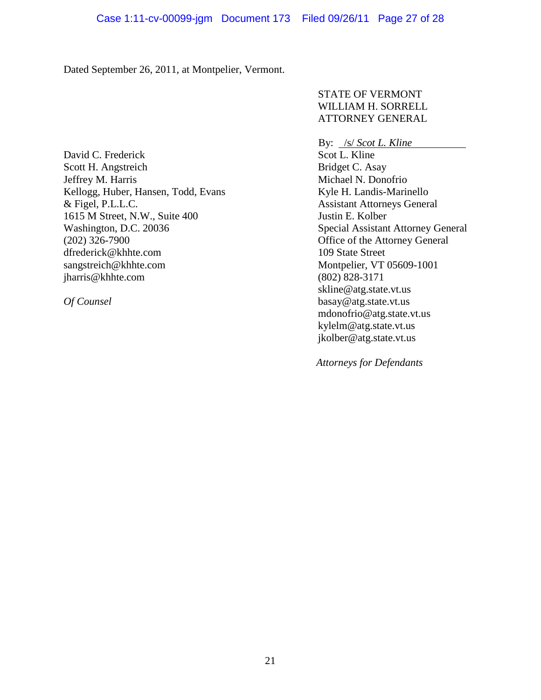Dated September 26, 2011, at Montpelier, Vermont.

STATE OF VERMONT WILLIAM H. SORRELL ATTORNEY GENERAL

David C. Frederick Scott H. Angstreich Jeffrey M. Harris Kellogg, Huber, Hansen, Todd, Evans & Figel, P.L.L.C. 1615 M Street, N.W., Suite 400 Washington, D.C. 20036 (202) 326-7900 dfrederick@khhte.com sangstreich@khhte.com jharris@khhte.com

*Of Counsel*

By: /s/ *Scot L. Kline* Scot L. Kline Bridget C. Asay Michael N. Donofrio Kyle H. Landis-Marinello Assistant Attorneys General Justin E. Kolber Special Assistant Attorney General Office of the Attorney General 109 State Street Montpelier, VT 05609-1001 (802) 828-3171 skline@atg.state.vt.us basay@atg.state.vt.us mdonofrio@atg.state.vt.us kylelm@atg.state.vt.us jkolber@atg.state.vt.us

 *Attorneys for Defendants*